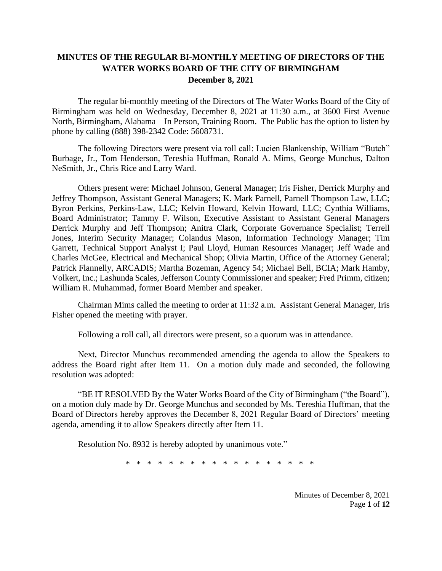## **MINUTES OF THE REGULAR BI-MONTHLY MEETING OF DIRECTORS OF THE WATER WORKS BOARD OF THE CITY OF BIRMINGHAM December 8, 2021**

The regular bi-monthly meeting of the Directors of The Water Works Board of the City of Birmingham was held on Wednesday, December 8, 2021 at 11:30 a.m., at 3600 First Avenue North, Birmingham, Alabama – In Person, Training Room. The Public has the option to listen by phone by calling (888) 398-2342 Code: 5608731.

The following Directors were present via roll call: Lucien Blankenship, William "Butch" Burbage, Jr., Tom Henderson, Tereshia Huffman, Ronald A. Mims, George Munchus, Dalton NeSmith, Jr., Chris Rice and Larry Ward.

Others present were: Michael Johnson, General Manager; Iris Fisher, Derrick Murphy and Jeffrey Thompson, Assistant General Managers; K. Mark Parnell, Parnell Thompson Law, LLC; Byron Perkins, Perkins-Law, LLC; Kelvin Howard, Kelvin Howard, LLC; Cynthia Williams, Board Administrator; Tammy F. Wilson, Executive Assistant to Assistant General Managers Derrick Murphy and Jeff Thompson; Anitra Clark, Corporate Governance Specialist; Terrell Jones, Interim Security Manager; Colandus Mason, Information Technology Manager; Tim Garrett, Technical Support Analyst I; Paul Lloyd, Human Resources Manager; Jeff Wade and Charles McGee, Electrical and Mechanical Shop; Olivia Martin, Office of the Attorney General; Patrick Flannelly, ARCADIS; Martha Bozeman, Agency 54; Michael Bell, BCIA; Mark Hamby, Volkert, Inc.; Lashunda Scales, Jefferson County Commissioner and speaker; Fred Primm, citizen; William R. Muhammad, former Board Member and speaker.

Chairman Mims called the meeting to order at 11:32 a.m. Assistant General Manager, Iris Fisher opened the meeting with prayer.

Following a roll call, all directors were present, so a quorum was in attendance.

Next, Director Munchus recommended amending the agenda to allow the Speakers to address the Board right after Item 11. On a motion duly made and seconded, the following resolution was adopted:

"BE IT RESOLVED By the Water Works Board of the City of Birmingham ("the Board"), on a motion duly made by Dr. George Munchus and seconded by Ms. Tereshia Huffman, that the Board of Directors hereby approves the December 8, 2021 Regular Board of Directors' meeting agenda, amending it to allow Speakers directly after Item 11.

Resolution No. 8932 is hereby adopted by unanimous vote."

\* \* \* \* \* \* \* \* \* \* \* \* \* \* \* \* \* \*

Minutes of December 8, 2021 Page **1** of **12**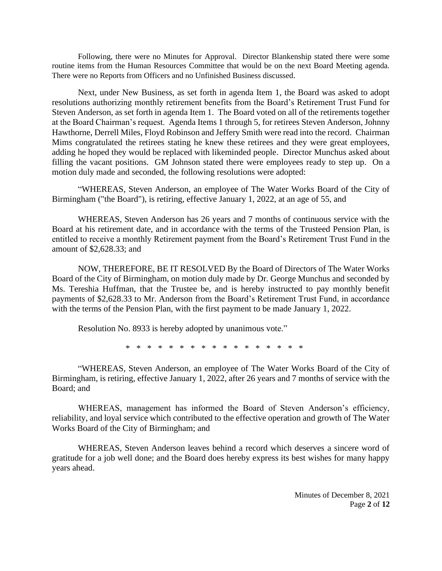Following, there were no Minutes for Approval. Director Blankenship stated there were some routine items from the Human Resources Committee that would be on the next Board Meeting agenda. There were no Reports from Officers and no Unfinished Business discussed.

Next, under New Business, as set forth in agenda Item 1, the Board was asked to adopt resolutions authorizing monthly retirement benefits from the Board's Retirement Trust Fund for Steven Anderson, as set forth in agenda Item 1. The Board voted on all of the retirements together at the Board Chairman's request. Agenda Items 1 through 5, for retirees Steven Anderson, Johnny Hawthorne, Derrell Miles, Floyd Robinson and Jeffery Smith were read into the record. Chairman Mims congratulated the retirees stating he knew these retirees and they were great employees, adding he hoped they would be replaced with likeminded people. Director Munchus asked about filling the vacant positions. GM Johnson stated there were employees ready to step up. On a motion duly made and seconded, the following resolutions were adopted:

"WHEREAS, Steven Anderson, an employee of The Water Works Board of the City of Birmingham ("the Board"), is retiring, effective January 1, 2022, at an age of 55, and

WHEREAS, Steven Anderson has 26 years and 7 months of continuous service with the Board at his retirement date, and in accordance with the terms of the Trusteed Pension Plan, is entitled to receive a monthly Retirement payment from the Board's Retirement Trust Fund in the amount of \$2,628.33; and

NOW, THEREFORE, BE IT RESOLVED By the Board of Directors of The Water Works Board of the City of Birmingham, on motion duly made by Dr. George Munchus and seconded by Ms. Tereshia Huffman, that the Trustee be, and is hereby instructed to pay monthly benefit payments of \$2,628.33 to Mr. Anderson from the Board's Retirement Trust Fund, in accordance with the terms of the Pension Plan, with the first payment to be made January 1, 2022.

Resolution No. 8933 is hereby adopted by unanimous vote."

\* \* \* \* \* \* \* \* \* \* \* \* \* \* \* \* \*

"WHEREAS, Steven Anderson, an employee of The Water Works Board of the City of Birmingham, is retiring, effective January 1, 2022, after 26 years and 7 months of service with the Board; and

WHEREAS, management has informed the Board of Steven Anderson's efficiency, reliability, and loyal service which contributed to the effective operation and growth of The Water Works Board of the City of Birmingham; and

WHEREAS, Steven Anderson leaves behind a record which deserves a sincere word of gratitude for a job well done; and the Board does hereby express its best wishes for many happy years ahead.

> Minutes of December 8, 2021 Page **2** of **12**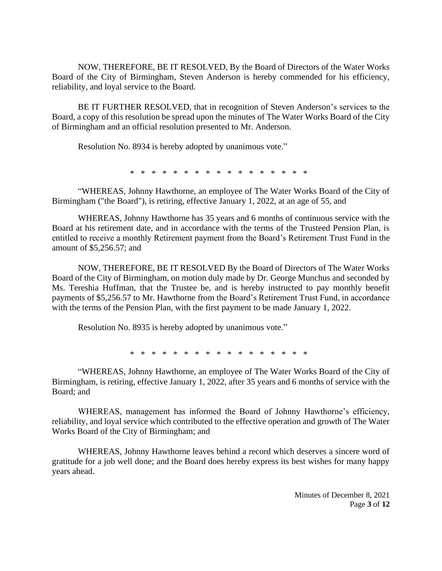NOW, THEREFORE, BE IT RESOLVED, By the Board of Directors of the Water Works Board of the City of Birmingham, Steven Anderson is hereby commended for his efficiency, reliability, and loyal service to the Board.

BE IT FURTHER RESOLVED, that in recognition of Steven Anderson's services to the Board, a copy of this resolution be spread upon the minutes of The Water Works Board of the City of Birmingham and an official resolution presented to Mr. Anderson.

Resolution No. 8934 is hereby adopted by unanimous vote."

\* \* \* \* \* \* \* \* \* \* \* \* \* \* \* \* \*

"WHEREAS, Johnny Hawthorne, an employee of The Water Works Board of the City of Birmingham ("the Board"), is retiring, effective January 1, 2022, at an age of 55, and

WHEREAS, Johnny Hawthorne has 35 years and 6 months of continuous service with the Board at his retirement date, and in accordance with the terms of the Trusteed Pension Plan, is entitled to receive a monthly Retirement payment from the Board's Retirement Trust Fund in the amount of \$5,256.57; and

NOW, THEREFORE, BE IT RESOLVED By the Board of Directors of The Water Works Board of the City of Birmingham, on motion duly made by Dr. George Munchus and seconded by Ms. Tereshia Huffman, that the Trustee be, and is hereby instructed to pay monthly benefit payments of \$5,256.57 to Mr. Hawthorne from the Board's Retirement Trust Fund, in accordance with the terms of the Pension Plan, with the first payment to be made January 1, 2022.

Resolution No. 8935 is hereby adopted by unanimous vote."

\* \* \* \* \* \* \* \* \* \* \* \* \* \* \* \* \*

"WHEREAS, Johnny Hawthorne, an employee of The Water Works Board of the City of Birmingham, is retiring, effective January 1, 2022, after 35 years and 6 months of service with the Board; and

WHEREAS, management has informed the Board of Johnny Hawthorne's efficiency, reliability, and loyal service which contributed to the effective operation and growth of The Water Works Board of the City of Birmingham; and

WHEREAS, Johnny Hawthorne leaves behind a record which deserves a sincere word of gratitude for a job well done; and the Board does hereby express its best wishes for many happy years ahead.

> Minutes of December 8, 2021 Page **3** of **12**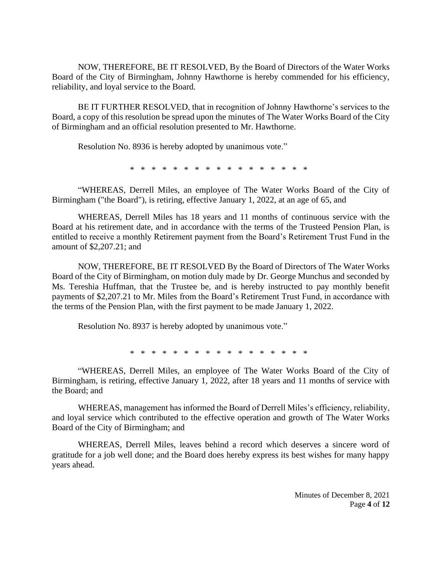NOW, THEREFORE, BE IT RESOLVED, By the Board of Directors of the Water Works Board of the City of Birmingham, Johnny Hawthorne is hereby commended for his efficiency, reliability, and loyal service to the Board.

BE IT FURTHER RESOLVED, that in recognition of Johnny Hawthorne's services to the Board, a copy of this resolution be spread upon the minutes of The Water Works Board of the City of Birmingham and an official resolution presented to Mr. Hawthorne.

Resolution No. 8936 is hereby adopted by unanimous vote."

\* \* \* \* \* \* \* \* \* \* \* \* \* \* \* \*

"WHEREAS, Derrell Miles, an employee of The Water Works Board of the City of Birmingham ("the Board"), is retiring, effective January 1, 2022, at an age of 65, and

WHEREAS, Derrell Miles has 18 years and 11 months of continuous service with the Board at his retirement date, and in accordance with the terms of the Trusteed Pension Plan, is entitled to receive a monthly Retirement payment from the Board's Retirement Trust Fund in the amount of \$2,207.21; and

NOW, THEREFORE, BE IT RESOLVED By the Board of Directors of The Water Works Board of the City of Birmingham, on motion duly made by Dr. George Munchus and seconded by Ms. Tereshia Huffman, that the Trustee be, and is hereby instructed to pay monthly benefit payments of \$2,207.21 to Mr. Miles from the Board's Retirement Trust Fund, in accordance with the terms of the Pension Plan, with the first payment to be made January 1, 2022.

Resolution No. 8937 is hereby adopted by unanimous vote."

\* \* \* \* \* \* \* \* \* \* \* \* \* \* \* \* \*

"WHEREAS, Derrell Miles, an employee of The Water Works Board of the City of Birmingham, is retiring, effective January 1, 2022, after 18 years and 11 months of service with the Board; and

WHEREAS, management has informed the Board of Derrell Miles's efficiency, reliability, and loyal service which contributed to the effective operation and growth of The Water Works Board of the City of Birmingham; and

WHEREAS, Derrell Miles, leaves behind a record which deserves a sincere word of gratitude for a job well done; and the Board does hereby express its best wishes for many happy years ahead.

> Minutes of December 8, 2021 Page **4** of **12**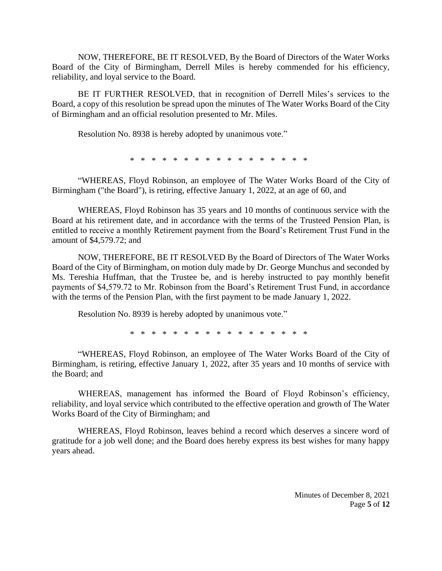NOW, THEREFORE, BE IT RESOLVED, By the Board of Directors of the Water Works Board of the City of Birmingham, Derrell Miles is hereby commended for his efficiency, reliability, and loyal service to the Board.

BE IT FURTHER RESOLVED, that in recognition of Derrell Miles's services to the Board, a copy of this resolution be spread upon the minutes of The Water Works Board of the City of Birmingham and an official resolution presented to Mr. Miles.

Resolution No. 8938 is hereby adopted by unanimous vote."

\* \* \* \* \* \* \* \* \* \* \* \* \* \* \* \* \*

"WHEREAS, Floyd Robinson, an employee of The Water Works Board of the City of Birmingham ("the Board"), is retiring, effective January 1, 2022, at an age of 60, and

WHEREAS, Floyd Robinson has 35 years and 10 months of continuous service with the Board at his retirement date, and in accordance with the terms of the Trusteed Pension Plan, is entitled to receive a monthly Retirement payment from the Board's Retirement Trust Fund in the amount of \$4,579.72; and

NOW, THEREFORE, BE IT RESOLVED By the Board of Directors of The Water Works Board of the City of Birmingham, on motion duly made by Dr. George Munchus and seconded by Ms. Tereshia Huffman, that the Trustee be, and is hereby instructed to pay monthly benefit payments of \$4,579.72 to Mr. Robinson from the Board's Retirement Trust Fund, in accordance with the terms of the Pension Plan, with the first payment to be made January 1, 2022.

Resolution No. 8939 is hereby adopted by unanimous vote."

\* \* \* \* \* \* \* \* \* \* \* \* \* \* \* \* \*

"WHEREAS, Floyd Robinson, an employee of The Water Works Board of the City of Birmingham, is retiring, effective January 1, 2022, after 35 years and 10 months of service with the Board; and

WHEREAS, management has informed the Board of Floyd Robinson's efficiency, reliability, and loyal service which contributed to the effective operation and growth of The Water Works Board of the City of Birmingham; and

WHEREAS, Floyd Robinson, leaves behind a record which deserves a sincere word of gratitude for a job well done; and the Board does hereby express its best wishes for many happy years ahead.

> Minutes of December 8, 2021 Page **5** of **12**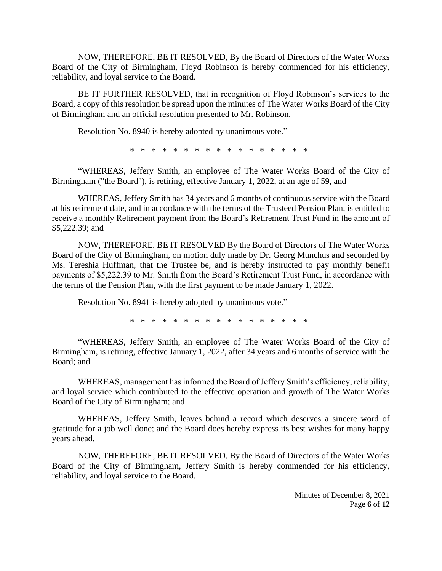NOW, THEREFORE, BE IT RESOLVED, By the Board of Directors of the Water Works Board of the City of Birmingham, Floyd Robinson is hereby commended for his efficiency, reliability, and loyal service to the Board.

BE IT FURTHER RESOLVED, that in recognition of Floyd Robinson's services to the Board, a copy of this resolution be spread upon the minutes of The Water Works Board of the City of Birmingham and an official resolution presented to Mr. Robinson.

Resolution No. 8940 is hereby adopted by unanimous vote."

\* \* \* \* \* \* \* \* \* \* \* \* \* \* \* \* \*

"WHEREAS, Jeffery Smith, an employee of The Water Works Board of the City of Birmingham ("the Board"), is retiring, effective January 1, 2022, at an age of 59, and

WHEREAS, Jeffery Smith has 34 years and 6 months of continuous service with the Board at his retirement date, and in accordance with the terms of the Trusteed Pension Plan, is entitled to receive a monthly Retirement payment from the Board's Retirement Trust Fund in the amount of \$5,222.39; and

NOW, THEREFORE, BE IT RESOLVED By the Board of Directors of The Water Works Board of the City of Birmingham, on motion duly made by Dr. Georg Munchus and seconded by Ms. Tereshia Huffman, that the Trustee be, and is hereby instructed to pay monthly benefit payments of \$5,222.39 to Mr. Smith from the Board's Retirement Trust Fund, in accordance with the terms of the Pension Plan, with the first payment to be made January 1, 2022.

Resolution No. 8941 is hereby adopted by unanimous vote."

\* \* \* \* \* \* \* \* \* \* \* \* \* \* \* \* \*

"WHEREAS, Jeffery Smith, an employee of The Water Works Board of the City of Birmingham, is retiring, effective January 1, 2022, after 34 years and 6 months of service with the Board; and

WHEREAS, management has informed the Board of Jeffery Smith's efficiency, reliability, and loyal service which contributed to the effective operation and growth of The Water Works Board of the City of Birmingham; and

WHEREAS, Jeffery Smith, leaves behind a record which deserves a sincere word of gratitude for a job well done; and the Board does hereby express its best wishes for many happy years ahead.

NOW, THEREFORE, BE IT RESOLVED, By the Board of Directors of the Water Works Board of the City of Birmingham, Jeffery Smith is hereby commended for his efficiency, reliability, and loyal service to the Board.

> Minutes of December 8, 2021 Page **6** of **12**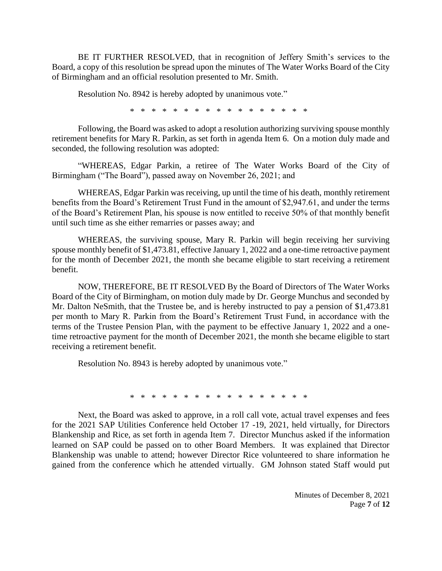BE IT FURTHER RESOLVED, that in recognition of Jeffery Smith's services to the Board, a copy of this resolution be spread upon the minutes of The Water Works Board of the City of Birmingham and an official resolution presented to Mr. Smith.

Resolution No. 8942 is hereby adopted by unanimous vote."

\* \* \* \* \* \* \* \* \* \* \* \* \* \* \* \* \*

Following, the Board was asked to adopt a resolution authorizing surviving spouse monthly retirement benefits for Mary R. Parkin, as set forth in agenda Item 6. On a motion duly made and seconded, the following resolution was adopted:

"WHEREAS, Edgar Parkin, a retiree of The Water Works Board of the City of Birmingham ("The Board"), passed away on November 26, 2021; and

WHEREAS, Edgar Parkin was receiving, up until the time of his death, monthly retirement benefits from the Board's Retirement Trust Fund in the amount of \$2,947.61, and under the terms of the Board's Retirement Plan, his spouse is now entitled to receive 50% of that monthly benefit until such time as she either remarries or passes away; and

WHEREAS, the surviving spouse, Mary R. Parkin will begin receiving her surviving spouse monthly benefit of \$1,473.81, effective January 1, 2022 and a one-time retroactive payment for the month of December 2021, the month she became eligible to start receiving a retirement benefit.

NOW, THEREFORE, BE IT RESOLVED By the Board of Directors of The Water Works Board of the City of Birmingham, on motion duly made by Dr. George Munchus and seconded by Mr. Dalton NeSmith, that the Trustee be, and is hereby instructed to pay a pension of \$1,473.81 per month to Mary R. Parkin from the Board's Retirement Trust Fund, in accordance with the terms of the Trustee Pension Plan, with the payment to be effective January 1, 2022 and a onetime retroactive payment for the month of December 2021, the month she became eligible to start receiving a retirement benefit.

Resolution No. 8943 is hereby adopted by unanimous vote."

\* \* \* \* \* \* \* \* \* \* \* \* \* \* \* \* \*

Next, the Board was asked to approve, in a roll call vote, actual travel expenses and fees for the 2021 SAP Utilities Conference held October 17 -19, 2021, held virtually, for Directors Blankenship and Rice, as set forth in agenda Item 7. Director Munchus asked if the information learned on SAP could be passed on to other Board Members. It was explained that Director Blankenship was unable to attend; however Director Rice volunteered to share information he gained from the conference which he attended virtually. GM Johnson stated Staff would put

> Minutes of December 8, 2021 Page **7** of **12**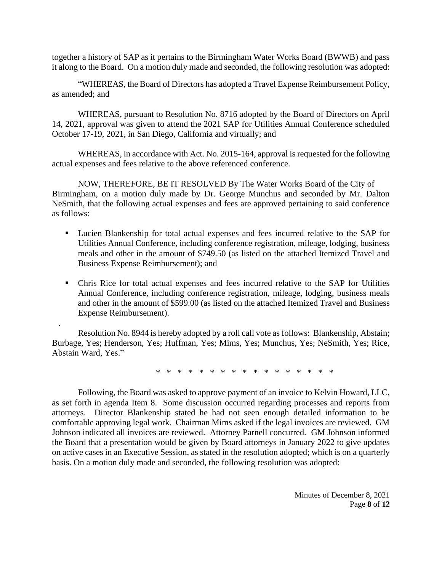together a history of SAP as it pertains to the Birmingham Water Works Board (BWWB) and pass it along to the Board. On a motion duly made and seconded, the following resolution was adopted:

"WHEREAS, the Board of Directors has adopted a Travel Expense Reimbursement Policy, as amended; and

WHEREAS, pursuant to Resolution No. 8716 adopted by the Board of Directors on April 14, 2021, approval was given to attend the 2021 SAP for Utilities Annual Conference scheduled October 17-19, 2021, in San Diego, California and virtually; and

WHEREAS, in accordance with Act. No. 2015-164, approval is requested for the following actual expenses and fees relative to the above referenced conference.

NOW, THEREFORE, BE IT RESOLVED By The Water Works Board of the City of Birmingham, on a motion duly made by Dr. George Munchus and seconded by Mr. Dalton NeSmith, that the following actual expenses and fees are approved pertaining to said conference as follows:

- Lucien Blankenship for total actual expenses and fees incurred relative to the SAP for Utilities Annual Conference, including conference registration, mileage, lodging, business meals and other in the amount of \$749.50 (as listed on the attached Itemized Travel and Business Expense Reimbursement); and
- Chris Rice for total actual expenses and fees incurred relative to the SAP for Utilities Annual Conference, including conference registration, mileage, lodging, business meals and other in the amount of \$599.00 (as listed on the attached Itemized Travel and Business Expense Reimbursement).

Resolution No. 8944 is hereby adopted by a roll call vote as follows: Blankenship, Abstain; Burbage, Yes; Henderson, Yes; Huffman, Yes; Mims, Yes; Munchus, Yes; NeSmith, Yes; Rice, Abstain Ward, Yes."

.

\* \* \* \* \* \* \* \* \* \* \* \* \* \* \* \* \*

Following, the Board was asked to approve payment of an invoice to Kelvin Howard, LLC, as set forth in agenda Item 8. Some discussion occurred regarding processes and reports from attorneys. Director Blankenship stated he had not seen enough detailed information to be comfortable approving legal work. Chairman Mims asked if the legal invoices are reviewed. GM Johnson indicated all invoices are reviewed. Attorney Parnell concurred. GM Johnson informed the Board that a presentation would be given by Board attorneys in January 2022 to give updates on active cases in an Executive Session, as stated in the resolution adopted; which is on a quarterly basis. On a motion duly made and seconded, the following resolution was adopted: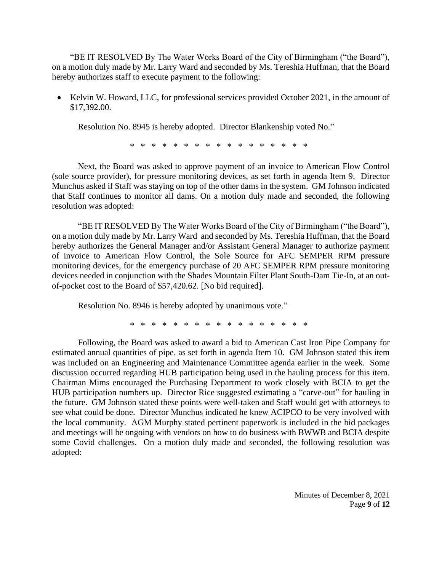"BE IT RESOLVED By The Water Works Board of the City of Birmingham ("the Board"), on a motion duly made by Mr. Larry Ward and seconded by Ms. Tereshia Huffman, that the Board hereby authorizes staff to execute payment to the following:

• Kelvin W. Howard, LLC, for professional services provided October 2021, in the amount of \$17,392.00.

Resolution No. 8945 is hereby adopted. Director Blankenship voted No."

\* \* \* \* \* \* \* \* \* \* \* \* \* \* \* \*

Next, the Board was asked to approve payment of an invoice to American Flow Control (sole source provider), for pressure monitoring devices, as set forth in agenda Item 9. Director Munchus asked if Staff was staying on top of the other dams in the system. GM Johnson indicated that Staff continues to monitor all dams. On a motion duly made and seconded, the following resolution was adopted:

"BE IT RESOLVED By The Water Works Board of the City of Birmingham ("the Board"), on a motion duly made by Mr. Larry Ward and seconded by Ms. Tereshia Huffman, that the Board hereby authorizes the General Manager and/or Assistant General Manager to authorize payment of invoice to American Flow Control, the Sole Source for AFC SEMPER RPM pressure monitoring devices, for the emergency purchase of 20 AFC SEMPER RPM pressure monitoring devices needed in conjunction with the Shades Mountain Filter Plant South-Dam Tie-In, at an outof-pocket cost to the Board of \$57,420.62. [No bid required].

Resolution No. 8946 is hereby adopted by unanimous vote."

\* \* \* \* \* \* \* \* \* \* \* \* \* \* \* \*

Following, the Board was asked to award a bid to American Cast Iron Pipe Company for estimated annual quantities of pipe, as set forth in agenda Item 10. GM Johnson stated this item was included on an Engineering and Maintenance Committee agenda earlier in the week. Some discussion occurred regarding HUB participation being used in the hauling process for this item. Chairman Mims encouraged the Purchasing Department to work closely with BCIA to get the HUB participation numbers up. Director Rice suggested estimating a "carve-out" for hauling in the future. GM Johnson stated these points were well-taken and Staff would get with attorneys to see what could be done. Director Munchus indicated he knew ACIPCO to be very involved with the local community. AGM Murphy stated pertinent paperwork is included in the bid packages and meetings will be ongoing with vendors on how to do business with BWWB and BCIA despite some Covid challenges. On a motion duly made and seconded, the following resolution was adopted: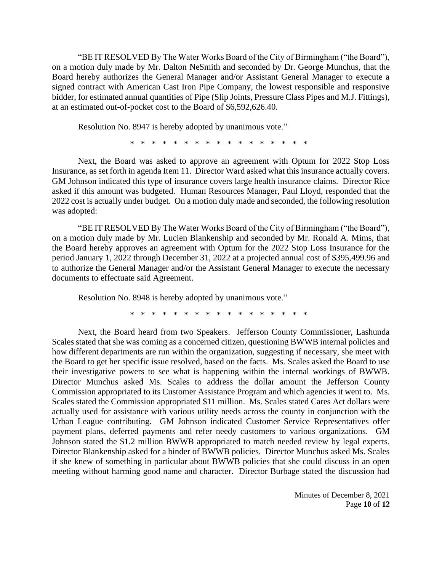"BE IT RESOLVED By The Water Works Board of the City of Birmingham ("the Board"), on a motion duly made by Mr. Dalton NeSmith and seconded by Dr. George Munchus, that the Board hereby authorizes the General Manager and/or Assistant General Manager to execute a signed contract with American Cast Iron Pipe Company, the lowest responsible and responsive bidder, for estimated annual quantities of Pipe (Slip Joints, Pressure Class Pipes and M.J. Fittings), at an estimated out-of-pocket cost to the Board of \$6,592,626.40.

Resolution No. 8947 is hereby adopted by unanimous vote."

\* \* \* \* \* \* \* \* \* \* \* \* \* \* \* \* \*

Next, the Board was asked to approve an agreement with Optum for 2022 Stop Loss Insurance, as set forth in agenda Item 11. Director Ward asked what this insurance actually covers. GM Johnson indicated this type of insurance covers large health insurance claims. Director Rice asked if this amount was budgeted. Human Resources Manager, Paul Lloyd, responded that the 2022 cost is actually under budget. On a motion duly made and seconded, the following resolution was adopted:

"BE IT RESOLVED By The Water Works Board of the City of Birmingham ("the Board"), on a motion duly made by Mr. Lucien Blankenship and seconded by Mr. Ronald A. Mims, that the Board hereby approves an agreement with Optum for the 2022 Stop Loss Insurance for the period January 1, 2022 through December 31, 2022 at a projected annual cost of \$395,499.96 and to authorize the General Manager and/or the Assistant General Manager to execute the necessary documents to effectuate said Agreement.

Resolution No. 8948 is hereby adopted by unanimous vote."

\* \* \* \* \* \* \* \* \* \* \* \* \* \* \* \* \*

Next, the Board heard from two Speakers. Jefferson County Commissioner, Lashunda Scales stated that she was coming as a concerned citizen, questioning BWWB internal policies and how different departments are run within the organization, suggesting if necessary, she meet with the Board to get her specific issue resolved, based on the facts. Ms. Scales asked the Board to use their investigative powers to see what is happening within the internal workings of BWWB. Director Munchus asked Ms. Scales to address the dollar amount the Jefferson County Commission appropriated to its Customer Assistance Program and which agencies it went to. Ms. Scales stated the Commission appropriated \$11 million. Ms. Scales stated Cares Act dollars were actually used for assistance with various utility needs across the county in conjunction with the Urban League contributing. GM Johnson indicated Customer Service Representatives offer payment plans, deferred payments and refer needy customers to various organizations. GM Johnson stated the \$1.2 million BWWB appropriated to match needed review by legal experts. Director Blankenship asked for a binder of BWWB policies. Director Munchus asked Ms. Scales if she knew of something in particular about BWWB policies that she could discuss in an open meeting without harming good name and character. Director Burbage stated the discussion had

> Minutes of December 8, 2021 Page **10** of **12**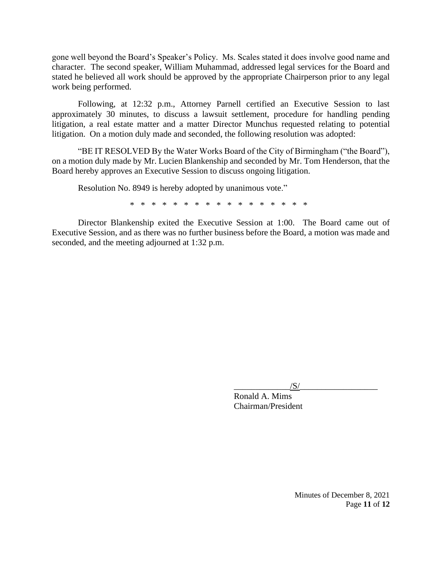gone well beyond the Board's Speaker's Policy. Ms. Scales stated it does involve good name and character. The second speaker, William Muhammad, addressed legal services for the Board and stated he believed all work should be approved by the appropriate Chairperson prior to any legal work being performed.

Following, at 12:32 p.m., Attorney Parnell certified an Executive Session to last approximately 30 minutes, to discuss a lawsuit settlement, procedure for handling pending litigation, a real estate matter and a matter Director Munchus requested relating to potential litigation. On a motion duly made and seconded, the following resolution was adopted:

"BE IT RESOLVED By the Water Works Board of the City of Birmingham ("the Board"), on a motion duly made by Mr. Lucien Blankenship and seconded by Mr. Tom Henderson, that the Board hereby approves an Executive Session to discuss ongoing litigation.

Resolution No. 8949 is hereby adopted by unanimous vote."

\* \* \* \* \* \* \* \* \* \* \* \* \* \* \* \* \*

Director Blankenship exited the Executive Session at 1:00. The Board came out of Executive Session, and as there was no further business before the Board, a motion was made and seconded, and the meeting adjourned at 1:32 p.m.

 $/S/$ 

Ronald A. Mims Chairman/President

> Minutes of December 8, 2021 Page **11** of **12**